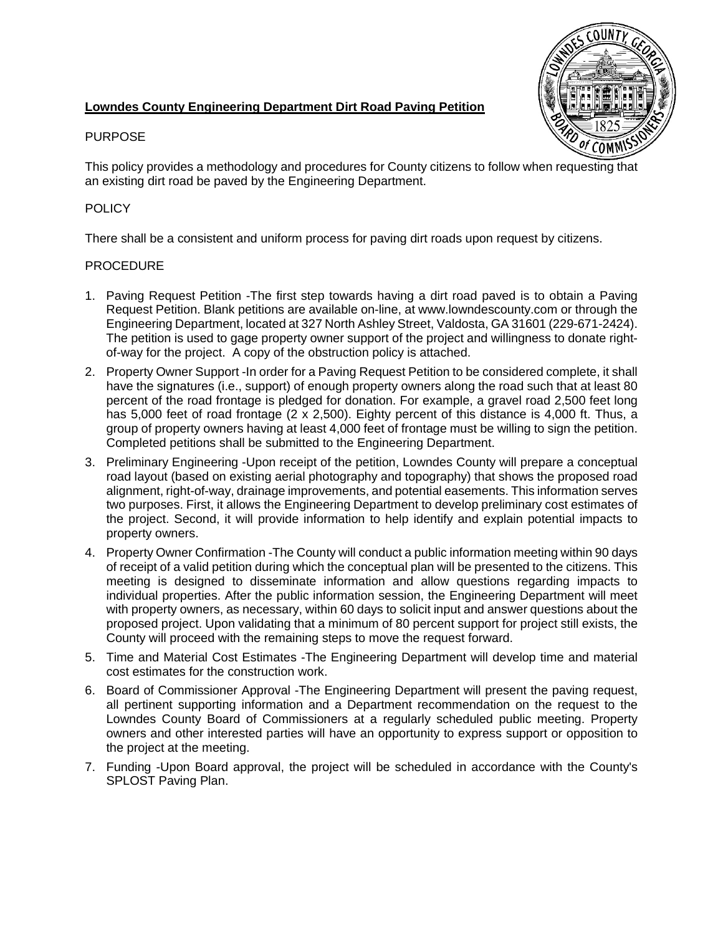## **Lowndes County Engineering Department Dirt Road Paving Petition**



#### PURPOSE

This policy provides a methodology and procedures for County citizens to follow when requesting that an existing dirt road be paved by the Engineering Department.

## **POLICY**

There shall be a consistent and uniform process for paving dirt roads upon request by citizens.

#### PROCEDURE

- 1. Paving Request Petition -The first step towards having a dirt road paved is to obtain a Paving Request Petition. Blank petitions are available on-line, at www.lowndescounty.com or through the Engineering Department, located at 327 North Ashley Street, Valdosta, GA 31601 (229-671-2424). The petition is used to gage property owner support of the project and willingness to donate rightof-way for the project. A copy of the obstruction policy is attached.
- 2. Property Owner Support -In order for a Paving Request Petition to be considered complete, it shall have the signatures (i.e., support) of enough property owners along the road such that at least 80 percent of the road frontage is pledged for donation. For example, a gravel road 2,500 feet long has 5,000 feet of road frontage (2 x 2,500). Eighty percent of this distance is 4,000 ft. Thus, a group of property owners having at least 4,000 feet of frontage must be willing to sign the petition. Completed petitions shall be submitted to the Engineering Department.
- 3. Preliminary Engineering -Upon receipt of the petition, Lowndes County will prepare a conceptual road layout (based on existing aerial photography and topography) that shows the proposed road alignment, right-of-way, drainage improvements, and potential easements. This information serves two purposes. First, it allows the Engineering Department to develop preliminary cost estimates of the project. Second, it will provide information to help identify and explain potential impacts to property owners.
- 4. Property Owner Confirmation -The County will conduct a public information meeting within 90 days of receipt of a valid petition during which the conceptual plan will be presented to the citizens. This meeting is designed to disseminate information and allow questions regarding impacts to individual properties. After the public information session, the Engineering Department will meet with property owners, as necessary, within 60 days to solicit input and answer questions about the proposed project. Upon validating that a minimum of 80 percent support for project still exists, the County will proceed with the remaining steps to move the request forward.
- 5. Time and Material Cost Estimates -The Engineering Department will develop time and material cost estimates for the construction work.
- 6. Board of Commissioner Approval -The Engineering Department will present the paving request, all pertinent supporting information and a Department recommendation on the request to the Lowndes County Board of Commissioners at a regularly scheduled public meeting. Property owners and other interested parties will have an opportunity to express support or opposition to the project at the meeting.
- 7. Funding -Upon Board approval, the project will be scheduled in accordance with the County's SPLOST Paving Plan.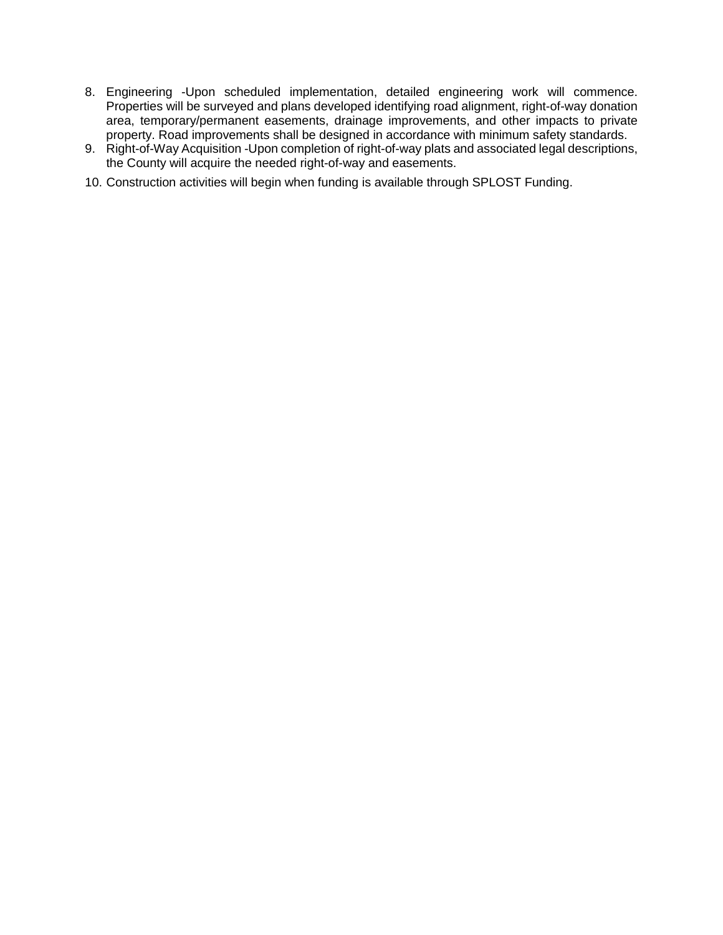- 8. Engineering -Upon scheduled implementation, detailed engineering work will commence. Properties will be surveyed and plans developed identifying road alignment, right-of-way donation area, temporary/permanent easements, drainage improvements, and other impacts to private property. Road improvements shall be designed in accordance with minimum safety standards.
- 9. Right-of-Way Acquisition -Upon completion of right-of-way plats and associated legal descriptions, the County will acquire the needed right-of-way and easements.
- 10. Construction activities will begin when funding is available through SPLOST Funding.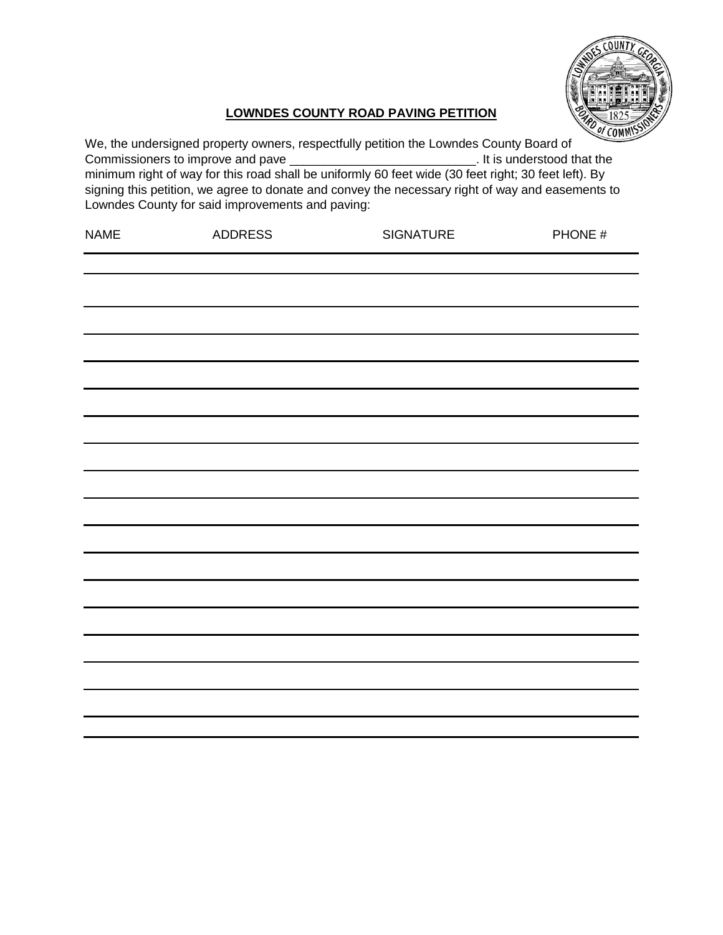

# **LOWNDES COUNTY ROAD PAVING PETITION**

| We, the undersigned property owners, respectfully petition the Lowndes County Board of<br>Commissioners to improve and pave<br>. It is understood that the<br>minimum right of way for this road shall be uniformly 60 feet wide (30 feet right; 30 feet left). By<br>signing this petition, we agree to donate and convey the necessary right of way and easements to<br>Lowndes County for said improvements and paving: |                |                  |         |
|----------------------------------------------------------------------------------------------------------------------------------------------------------------------------------------------------------------------------------------------------------------------------------------------------------------------------------------------------------------------------------------------------------------------------|----------------|------------------|---------|
| <b>NAME</b>                                                                                                                                                                                                                                                                                                                                                                                                                | <b>ADDRESS</b> | <b>SIGNATURE</b> | PHONE # |
|                                                                                                                                                                                                                                                                                                                                                                                                                            |                |                  |         |
|                                                                                                                                                                                                                                                                                                                                                                                                                            |                |                  |         |
|                                                                                                                                                                                                                                                                                                                                                                                                                            |                |                  |         |
|                                                                                                                                                                                                                                                                                                                                                                                                                            |                |                  |         |
|                                                                                                                                                                                                                                                                                                                                                                                                                            |                |                  |         |
|                                                                                                                                                                                                                                                                                                                                                                                                                            |                |                  |         |
|                                                                                                                                                                                                                                                                                                                                                                                                                            |                |                  |         |
|                                                                                                                                                                                                                                                                                                                                                                                                                            |                |                  |         |
|                                                                                                                                                                                                                                                                                                                                                                                                                            |                |                  |         |
|                                                                                                                                                                                                                                                                                                                                                                                                                            |                |                  |         |
|                                                                                                                                                                                                                                                                                                                                                                                                                            |                |                  |         |
|                                                                                                                                                                                                                                                                                                                                                                                                                            |                |                  |         |
|                                                                                                                                                                                                                                                                                                                                                                                                                            |                |                  |         |
|                                                                                                                                                                                                                                                                                                                                                                                                                            |                |                  |         |
|                                                                                                                                                                                                                                                                                                                                                                                                                            |                |                  |         |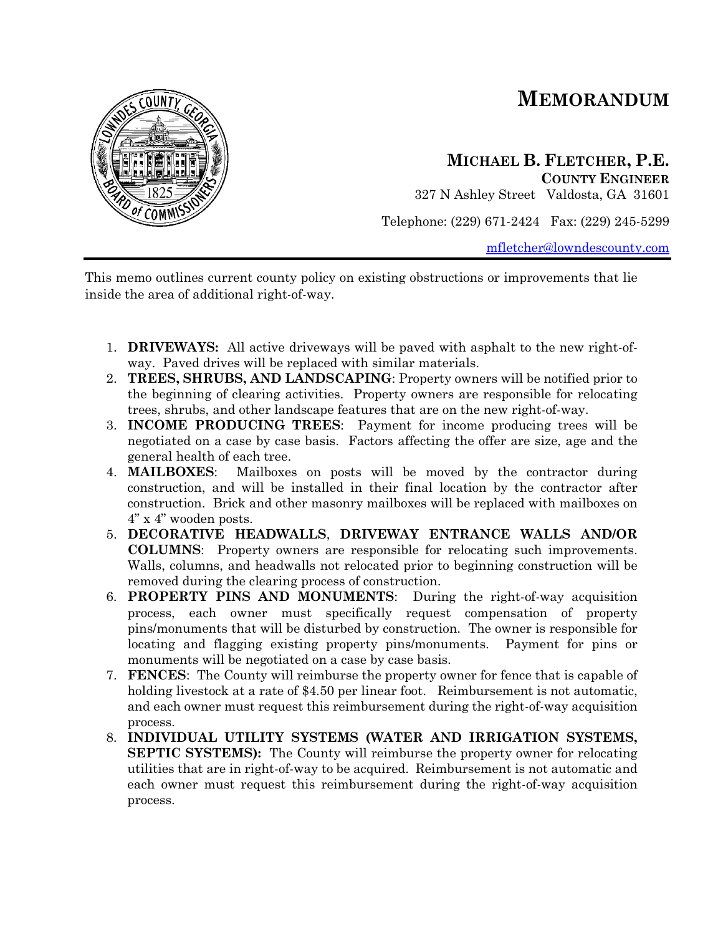# **MEMORANDUM**



# **MICHAEL B. FLETCHER, P.E. COUNTY ENGINEER**

327 N Ashley Street Valdosta, GA 31601

Telephone: (229) 671-2424 Fax: (229) 245-5299

[mfletcher@lowndescounty.com](mailto:mfletcher@lowndescounty.com)

This memo outlines current county policy on existing obstructions or improvements that lie inside the area of additional right-of-way.

- 1. **DRIVEWAYS:** All active driveways will be paved with asphalt to the new right-ofway. Paved drives will be replaced with similar materials.
- 2. **TREES, SHRUBS, AND LANDSCAPING**: Property owners will be notified prior to the beginning of clearing activities. Property owners are responsible for relocating trees, shrubs, and other landscape features that are on the new right-of-way.
- 3. **INCOME PRODUCING TREES**: Payment for income producing trees will be negotiated on a case by case basis. Factors affecting the offer are size, age and the general health of each tree.
- 4. **MAILBOXES**: Mailboxes on posts will be moved by the contractor during construction, and will be installed in their final location by the contractor after construction. Brick and other masonry mailboxes will be replaced with mailboxes on 4" x 4" wooden posts.
- 5. **DECORATIVE HEADWALLS**, **DRIVEWAY ENTRANCE WALLS AND/OR COLUMNS**: Property owners are responsible for relocating such improvements. Walls, columns, and headwalls not relocated prior to beginning construction will be removed during the clearing process of construction.
- 6. **PROPERTY PINS AND MONUMENTS**: During the right-of-way acquisition process, each owner must specifically request compensation of property pins/monuments that will be disturbed by construction. The owner is responsible for locating and flagging existing property pins/monuments. Payment for pins or monuments will be negotiated on a case by case basis.
- 7. **FENCES**: The County will reimburse the property owner for fence that is capable of holding livestock at a rate of \$4.50 per linear foot. Reimbursement is not automatic, and each owner must request this reimbursement during the right-of-way acquisition process.
- 8. **INDIVIDUAL UTILITY SYSTEMS (WATER AND IRRIGATION SYSTEMS, SEPTIC SYSTEMS**): The County will reimburse the property owner for relocating utilities that are in right-of-way to be acquired. Reimbursement is not automatic and each owner must request this reimbursement during the right-of-way acquisition process.